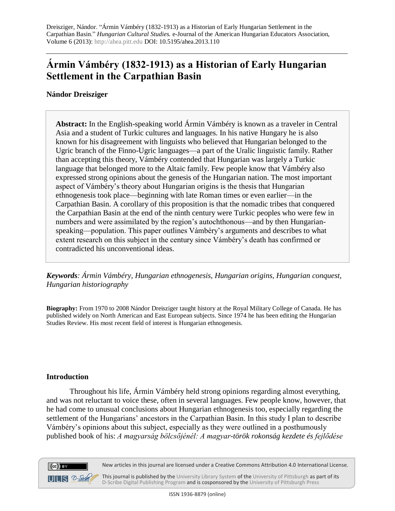# **Ármin Vámbéry (1832-1913) as a Historian of Early Hungarian Settlement in the Carpathian Basin**

**Nándor Dreisziger**

**Abstract:** In the English-speaking world Ármin Vámbéry is known as a traveler in Central Asia and a student of Turkic cultures and languages. In his native Hungary he is also known for his disagreement with linguists who believed that Hungarian belonged to the Ugric branch of the Finno-Ugric languages—a part of the Uralic linguistic family. Rather than accepting this theory, Vámbéry contended that Hungarian was largely a Turkic language that belonged more to the Altaic family. Few people know that Vámbéry also expressed strong opinions about the genesis of the Hungarian nation. The most important aspect of Vámbéry's theory about Hungarian origins is the thesis that Hungarian ethnogenesis took place—beginning with late Roman times or even earlier—in the Carpathian Basin. A corollary of this proposition is that the nomadic tribes that conquered the Carpathian Basin at the end of the ninth century were Turkic peoples who were few in numbers and were assimilated by the region's autochthonous—and by then Hungarianspeaking—population. This paper outlines Vámbéry's arguments and describes to what extent research on this subject in the century since Vámbéry's death has confirmed or contradicted his unconventional ideas.

*Keywords: Ármin Vámbéry, Hungarian ethnogenesis, Hungarian origins, Hungarian conquest, Hungarian historiography*

**Biography:** From 1970 to 2008 Nándor Dreisziger taught history at the Royal Military College of Canada. He has published widely on North American and East European subjects. Since 1974 he has been editing the Hungarian Studies Review. His most recent field of interest is Hungarian ethnogenesis.

## **Introduction**

Throughout his life, Ármin Vámbéry held strong opinions regarding almost everything, and was not reluctant to voice these, often in several languages. Few people know, however, that he had come to unusual conclusions about Hungarian ethnogenesis too, especially regarding the settlement of the Hungarians' ancestors in the Carpathian Basin. In this study I plan to describe Vámbéry's opinions about this subject, especially as they were outlined in a posthumously published book of his: *A magyarság bölcsőjénél: A magyar-török rokonság kezdete és fejlődése*





This journal is published by th[e University Library System](http://www.library.pitt.edu/) of th[e University of Pittsburgh](http://www.pitt.edu/) as part of its [D-Scribe Digital Publishing Program](http://www.library.pitt.edu/articles/digpubtype/index.html) and is cosponsored by the [University of Pittsburgh Press](http://upress.pitt.edu/)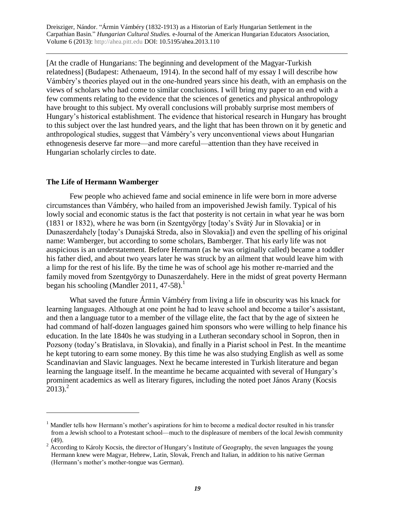[At the cradle of Hungarians: The beginning and development of the Magyar-Turkish relatedness] (Budapest: Athenaeum, 1914). In the second half of my essay I will describe how Vámbéry's theories played out in the one-hundred years since his death, with an emphasis on the views of scholars who had come to similar conclusions. I will bring my paper to an end with a few comments relating to the evidence that the sciences of genetics and physical anthropology have brought to this subject. My overall conclusions will probably surprise most members of Hungary's historical establishment. The evidence that historical research in Hungary has brought to this subject over the last hundred years, and the light that has been thrown on it by genetic and anthropological studies, suggest that Vámbéry's very unconventional views about Hungarian ethnogenesis deserve far more—and more careful—attention than they have received in Hungarian scholarly circles to date.

#### **The Life of Hermann Wamberger**

 $\overline{a}$ 

Few people who achieved fame and social eminence in life were born in more adverse circumstances than Vámbéry, who hailed from an impoverished Jewish family. Typical of his lowly social and economic status is the fact that posterity is not certain in what year he was born (1831 or 1832), where he was born (in Szentgyörgy [today's Svätý Jur in Slovakia] or in Dunaszerdahely [today's Dunajská Streda, also in Slovakia]) and even the spelling of his original name: Wamberger, but according to some scholars, Bamberger. That his early life was not auspicious is an understatement. Before Hermann (as he was originally called) became a toddler his father died, and about two years later he was struck by an ailment that would leave him with a limp for the rest of his life. By the time he was of school age his mother re-married and the family moved from Szentgyörgy to Dunaszerdahely. Here in the midst of great poverty Hermann began his schooling (Mandler 2011, 47-58).<sup>1</sup>

What saved the future Ármin Vámbéry from living a life in obscurity was his knack for learning languages. Although at one point he had to leave school and become a tailor's assistant, and then a language tutor to a member of the village elite, the fact that by the age of sixteen he had command of half-dozen languages gained him sponsors who were willing to help finance his education. In the late 1840s he was studying in a Lutheran secondary school in Sopron, then in Pozsony (today's Bratislava, in Slovakia), and finally in a Piarist school in Pest. In the meantime he kept tutoring to earn some money. By this time he was also studying English as well as some Scandinavian and Slavic languages. Next he became interested in Turkish literature and began learning the language itself. In the meantime he became acquainted with several of Hungary's prominent academics as well as literary figures, including the noted poet János Arany (Kocsis  $2013$ ).<sup>2</sup>

<sup>&</sup>lt;sup>1</sup> Mandler tells how Hermann's mother's aspirations for him to become a medical doctor resulted in his transfer from a Jewish school to a Protestant school—much to the displeasure of members of the local Jewish community (49).

 $2 \text{ According to Károly Kocsis, the director of Hungary's Institute of Geography, the seven languages the young$ Hermann knew were Magyar, Hebrew, Latin, Slovak, French and Italian, in addition to his native German (Hermann's mother's mother-tongue was German).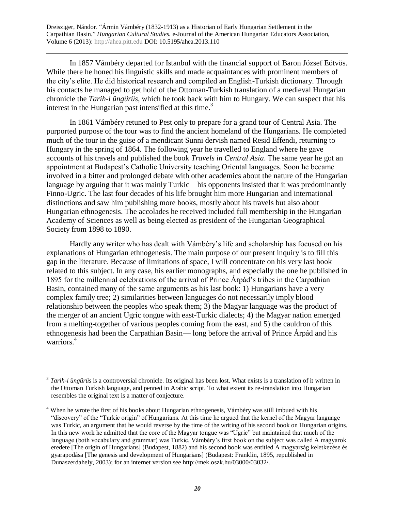In 1857 Vámbéry departed for Istanbul with the financial support of Baron József Eötvös. While there he honed his linguistic skills and made acquaintances with prominent members of the city's elite. He did historical research and compiled an English-Turkish dictionary. Through his contacts he managed to get hold of the Ottoman-Turkish translation of a medieval Hungarian chronicle the *Tarih-i üngürüs*, which he took back with him to Hungary. We can suspect that his interest in the Hungarian past intensified at this time.<sup>3</sup>

In 1861 Vámbéry retuned to Pest only to prepare for a grand tour of Central Asia. The purported purpose of the tour was to find the ancient homeland of the Hungarians. He completed much of the tour in the guise of a mendicant Sunni dervish named Resid Effendi, returning to Hungary in the spring of 1864. The following year he travelled to England where he gave accounts of his travels and published the book *Travels in Central Asia*. The same year he got an appointment at Budapest's Catholic University teaching Oriental languages. Soon he became involved in a bitter and prolonged debate with other academics about the nature of the Hungarian language by arguing that it was mainly Turkic—his opponents insisted that it was predominantly Finno-Ugric. The last four decades of his life brought him more Hungarian and international distinctions and saw him publishing more books, mostly about his travels but also about Hungarian ethnogenesis. The accolades he received included full membership in the Hungarian Academy of Sciences as well as being elected as president of the Hungarian Geographical Society from 1898 to 1890.

Hardly any writer who has dealt with Vámbéry's life and scholarship has focused on his explanations of Hungarian ethnogenesis. The main purpose of our present inquiry is to fill this gap in the literature. Because of limitations of space, I will concentrate on his very last book related to this subject. In any case, his earlier monographs, and especially the one he published in 1895 for the millennial celebrations of the arrival of Prince Árpád's tribes in the Carpathian Basin, contained many of the same arguments as his last book: 1) Hungarians have a very complex family tree; 2) similarities between languages do not necessarily imply blood relationship between the peoples who speak them; 3) the Magyar language was the product of the merger of an ancient Ugric tongue with east-Turkic dialects; 4) the Magyar nation emerged from a melting-together of various peoples coming from the east, and 5) the cauldron of this ethnogenesis had been the Carpathian Basin— long before the arrival of Prince Árpád and his warriors.<sup>4</sup>

<sup>&</sup>lt;sup>3</sup> Tarih-i üngürüs is a controversial chronicle. Its original has been lost. What exists is a translation of it written in the Ottoman Turkish language, and penned in Arabic script. To what extent its re-translation into Hungarian resembles the original text is a matter of conjecture.

<sup>&</sup>lt;sup>4</sup> When he wrote the first of his books about Hungarian ethnogenesis, Vámbéry was still imbued with his "discovery" of the "Turkic origin" of Hungarians. At this time he argued that the kernel of the Magyar language was Turkic, an argument that he would reverse by the time of the writing of his second book on Hungarian origins. In this new work he admitted that the core of the Magyar tongue was "Ugric" but maintained that much of the language (both vocabulary and grammar) was Turkic. Vámbéry's first book on the subject was called A magyarok eredete [The origin of Hungarians] (Budapest, 1882) and his second book was entitled A magyarság keletkezése és gyarapodása [The genesis and development of Hungarians] (Budapest: Franklin, 1895, republished in Dunaszerdahely, 2003); for an internet version see http://mek.oszk.hu/03000/03032/.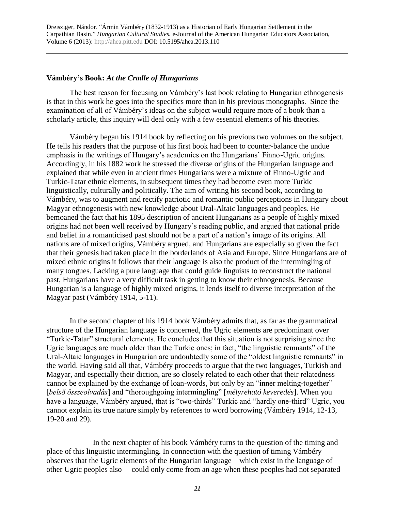## **Vámbéry's Book:** *At the Cradle of Hungarians*

The best reason for focusing on Vámbéry's last book relating to Hungarian ethnogenesis is that in this work he goes into the specifics more than in his previous monographs. Since the examination of all of Vámbéry's ideas on the subject would require more of a book than a scholarly article, this inquiry will deal only with a few essential elements of his theories.

 Vámbéry began his 1914 book by reflecting on his previous two volumes on the subject. He tells his readers that the purpose of his first book had been to counter-balance the undue emphasis in the writings of Hungary's academics on the Hungarians' Finno-Ugric origins. Accordingly, in his 1882 work he stressed the diverse origins of the Hungarian language and explained that while even in ancient times Hungarians were a mixture of Finno-Ugric and Turkic-Tatar ethnic elements, in subsequent times they had become even more Turkic linguistically, culturally and politically. The aim of writing his second book, according to Vámbéry, was to augment and rectify patriotic and romantic public perceptions in Hungary about Magyar ethnogenesis with new knowledge about Ural-Altaic languages and peoples. He bemoaned the fact that his 1895 description of ancient Hungarians as a people of highly mixed origins had not been well received by Hungary's reading public, and argued that national pride and belief in a romanticised past should not be a part of a nation's image of its origins. All nations are of mixed origins, Vámbéry argued, and Hungarians are especially so given the fact that their genesis had taken place in the borderlands of Asia and Europe. Since Hungarians are of mixed ethnic origins it follows that their language is also the product of the intermingling of many tongues. Lacking a pure language that could guide linguists to reconstruct the national past, Hungarians have a very difficult task in getting to know their ethnogenesis. Because Hungarian is a language of highly mixed origins, it lends itself to diverse interpretation of the Magyar past (Vámbéry 1914, 5-11).

In the second chapter of his 1914 book Vámbéry admits that, as far as the grammatical structure of the Hungarian language is concerned, the Ugric elements are predominant over "Turkic-Tatar" structural elements. He concludes that this situation is not surprising since the Ugric languages are much older than the Turkic ones; in fact, "the linguistic remnants" of the Ural-Altaic languages in Hungarian are undoubtedly some of the "oldest linguistic remnants" in the world. Having said all that, Vámbéry proceeds to argue that the two languages, Turkish and Magyar, and especially their diction, are so closely related to each other that their relatedness cannot be explained by the exchange of loan-words, but only by an "inner melting-together" [*belső összeolvadás*] and "thoroughgoing intermingling" [*mélyreható keveredés*]. When you have a language, Vámbéry argued, that is "two-thirds" Turkic and "hardly one-third" Ugric, you cannot explain its true nature simply by references to word borrowing (Vámbéry 1914, 12-13, 19-20 and 29).

In the next chapter of his book Vámbéry turns to the question of the timing and place of this linguistic intermingling. In connection with the question of timing Vámbéry observes that the Ugric elements of the Hungarian language—which exist in the language of other Ugric peoples also— could only come from an age when these peoples had not separated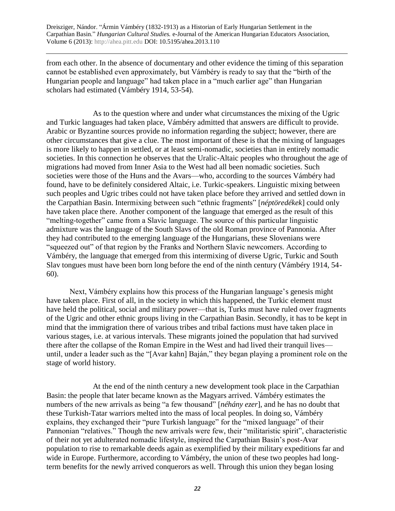from each other. In the absence of documentary and other evidence the timing of this separation cannot be established even approximately, but Vámbéry is ready to say that the "birth of the Hungarian people and language" had taken place in a "much earlier age" than Hungarian scholars had estimated (Vámbéry 1914, 53-54).

As to the question where and under what circumstances the mixing of the Ugric and Turkic languages had taken place, Vámbéry admitted that answers are difficult to provide. Arabic or Byzantine sources provide no information regarding the subject; however, there are other circumstances that give a clue. The most important of these is that the mixing of languages is more likely to happen in settled, or at least semi-nomadic, societies than in entirely nomadic societies. In this connection he observes that the Uralic-Altaic peoples who throughout the age of migrations had moved from Inner Asia to the West had all been nomadic societies. Such societies were those of the Huns and the Avars—who, according to the sources Vámbéry had found, have to be definitely considered Altaic, i.e. Turkic-speakers. Linguistic mixing between such peoples and Ugric tribes could not have taken place before they arrived and settled down in the Carpathian Basin. Intermixing between such "ethnic fragments" [*néptöredékek*] could only have taken place there. Another component of the language that emerged as the result of this "melting-together" came from a Slavic language. The source of this particular linguistic admixture was the language of the South Slavs of the old Roman province of Pannonia. After they had contributed to the emerging language of the Hungarians, these Slovenians were "squeezed out" of that region by the Franks and Northern Slavic newcomers. According to Vámbéry, the language that emerged from this intermixing of diverse Ugric, Turkic and South Slav tongues must have been born long before the end of the ninth century (Vámbéry 1914, 54- 60).

Next, Vámbéry explains how this process of the Hungarian language's genesis might have taken place. First of all, in the society in which this happened, the Turkic element must have held the political, social and military power—that is, Turks must have ruled over fragments of the Ugric and other ethnic groups living in the Carpathian Basin. Secondly, it has to be kept in mind that the immigration there of various tribes and tribal factions must have taken place in various stages, i.e. at various intervals. These migrants joined the population that had survived there after the collapse of the Roman Empire in the West and had lived their tranquil lives until, under a leader such as the "[Avar kahn] Baján," they began playing a prominent role on the stage of world history.

At the end of the ninth century a new development took place in the Carpathian Basin: the people that later became known as the Magyars arrived. Vámbéry estimates the numbers of the new arrivals as being "a few thousand" [*néhány ezer*], and he has no doubt that these Turkish-Tatar warriors melted into the mass of local peoples. In doing so, Vámbéry explains, they exchanged their "pure Turkish language" for the "mixed language" of their Pannonian "relatives." Though the new arrivals were few, their "militaristic spirit", characteristic of their not yet adulterated nomadic lifestyle, inspired the Carpathian Basin's post-Avar population to rise to remarkable deeds again as exemplified by their military expeditions far and wide in Europe. Furthermore, according to Vámbéry, the union of these two peoples had longterm benefits for the newly arrived conquerors as well. Through this union they began losing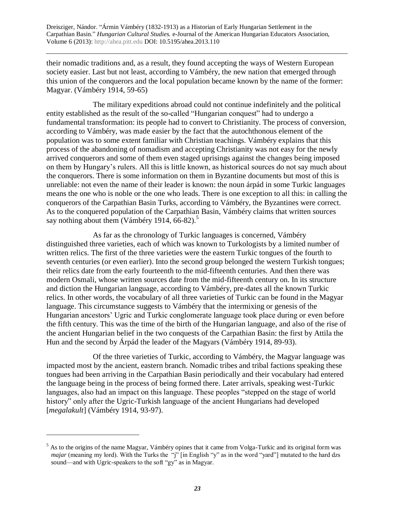their nomadic traditions and, as a result, they found accepting the ways of Western European society easier. Last but not least, according to Vámbéry, the new nation that emerged through this union of the conquerors and the local population became known by the name of the former: Magyar. (Vámbéry 1914, 59-65)

The military expeditions abroad could not continue indefinitely and the political entity established as the result of the so-called "Hungarian conquest" had to undergo a fundamental transformation: its people had to convert to Christianity. The process of conversion, according to Vámbéry, was made easier by the fact that the autochthonous element of the population was to some extent familiar with Christian teachings. Vámbéry explains that this process of the abandoning of nomadism and accepting Christianity was not easy for the newly arrived conquerors and some of them even staged uprisings against the changes being imposed on them by Hungary's rulers. All this is little known, as historical sources do not say much about the conquerors. There is some information on them in Byzantine documents but most of this is unreliable: not even the name of their leader is known: the noun árpád in some Turkic languages means the one who is noble or the one who leads. There is one exception to all this: in calling the conquerors of the Carpathian Basin Turks, according to Vámbéry, the Byzantines were correct. As to the conquered population of the Carpathian Basin, Vámbéry claims that written sources say nothing about them (Vámbéry 1914, 66-82). $5$ 

As far as the chronology of Turkic languages is concerned, Vámbéry distinguished three varieties, each of which was known to Turkologists by a limited number of written relics. The first of the three varieties were the eastern Turkic tongues of the fourth to seventh centuries (or even earlier). Into the second group belonged the western Turkish tongues; their relics date from the early fourteenth to the mid-fifteenth centuries. And then there was modern Osmali, whose written sources date from the mid-fifteenth century on. In its structure and diction the Hungarian language, according to Vámbéry, pre-dates all the known Turkic relics. In other words, the vocabulary of all three varieties of Turkic can be found in the Magyar language. This circumstance suggests to Vámbéry that the intermixing or genesis of the Hungarian ancestors' Ugric and Turkic conglomerate language took place during or even before the fifth century. This was the time of the birth of the Hungarian language, and also of the rise of the ancient Hungarian belief in the two conquests of the Carpathian Basin: the first by Attila the Hun and the second by Árpád the leader of the Magyars (Vámbéry 1914, 89-93).

Of the three varieties of Turkic, according to Vámbéry, the Magyar language was impacted most by the ancient, eastern branch. Nomadic tribes and tribal factions speaking these tongues had been arriving in the Carpathian Basin periodically and their vocabulary had entered the language being in the process of being formed there. Later arrivals, speaking west-Turkic languages, also had an impact on this language. These peoples "stepped on the stage of world history" only after the Ugric-Turkish language of the ancient Hungarians had developed [*megalakult*] (Vámbéry 1914, 93-97).

<sup>&</sup>lt;sup>5</sup> As to the origins of the name Magyar, Vámbéry opines that it came from Volga-Turkic and its original form was *majar* (meaning my lord). With the Turks the "j" [in English "y" as in the word "yard"] mutated to the hard dzs sound—and with Ugric-speakers to the soft "gy" as in Magyar.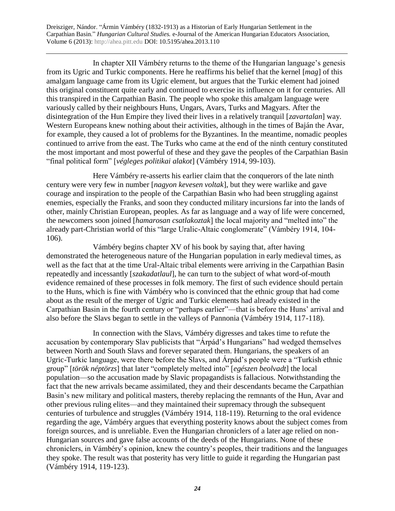In chapter XII Vámbéry returns to the theme of the Hungarian language's genesis from its Ugric and Turkic components. Here he reaffirms his belief that the kernel [*mag*] of this amalgam language came from its Ugric element, but argues that the Turkic element had joined this original constituent quite early and continued to exercise its influence on it for centuries. All this transpired in the Carpathian Basin. The people who spoke this amalgam language were variously called by their neighbours Huns, Ungars, Avars, Turks and Magyars. After the disintegration of the Hun Empire they lived their lives in a relatively tranquil [*zavartalan*] way. Western Europeans knew nothing about their activities, although in the times of Baján the Avar, for example, they caused a lot of problems for the Byzantines. In the meantime, nomadic peoples continued to arrive from the east. The Turks who came at the end of the ninth century constituted the most important and most powerful of these and they gave the peoples of the Carpathian Basin "final political form" [*végleges politikai alakot*] (Vámbéry 1914, 99-103).

Here Vámbéry re-asserts his earlier claim that the conquerors of the late ninth century were very few in number [*nagyon kevesen voltak*], but they were warlike and gave courage and inspiration to the people of the Carpathian Basin who had been struggling against enemies, especially the Franks, and soon they conducted military incursions far into the lands of other, mainly Christian European, peoples. As far as language and a way of life were concerned, the newcomers soon joined [*hamarosan csatlakoztak*] the local majority and "melted into" the already part-Christian world of this "large Uralic-Altaic conglomerate" (Vámbéry 1914, 104- 106).

Vámbéry begins chapter XV of his book by saying that, after having demonstrated the heterogeneous nature of the Hungarian population in early medieval times, as well as the fact that at the time Ural-Altaic tribal elements were arriving in the Carpathian Basin repeatedly and incessantly [*szakadatlaul*], he can turn to the subject of what word-of-mouth evidence remained of these processes in folk memory. The first of such evidence should pertain to the Huns, which is fine with Vámbéry who is convinced that the ethnic group that had come about as the result of the merger of Ugric and Turkic elements had already existed in the Carpathian Basin in the fourth century or "perhaps earlier"—that is before the Huns' arrival and also before the Slavs began to settle in the valleys of Pannonia (Vámbéry 1914, 117-118).

In connection with the Slavs, Vámbéry digresses and takes time to refute the accusation by contemporary Slav publicists that "Árpád's Hungarians" had wedged themselves between North and South Slavs and forever separated them. Hungarians, the speakers of an Ugric-Turkic language, were there before the Slavs, and Árpád's people were a "Turkish ethnic group" [*török néptörzs*] that later "completely melted into" [*egészen beolvadt*] the local population—so the accusation made by Slavic propagandists is fallacious. Notwithstanding the fact that the new arrivals became assimilated, they and their descendants became the Carpathian Basin's new military and political masters, thereby replacing the remnants of the Hun, Avar and other previous ruling elites—and they maintained their supremacy through the subsequent centuries of turbulence and struggles (Vámbéry 1914, 118-119). Returning to the oral evidence regarding the age, Vámbéry argues that everything posterity knows about the subject comes from foreign sources, and is unreliable. Even the Hungarian chroniclers of a later age relied on non-Hungarian sources and gave false accounts of the deeds of the Hungarians. None of these chroniclers, in Vámbéry's opinion, knew the country's peoples, their traditions and the languages they spoke. The result was that posterity has very little to guide it regarding the Hungarian past (Vámbéry 1914, 119-123).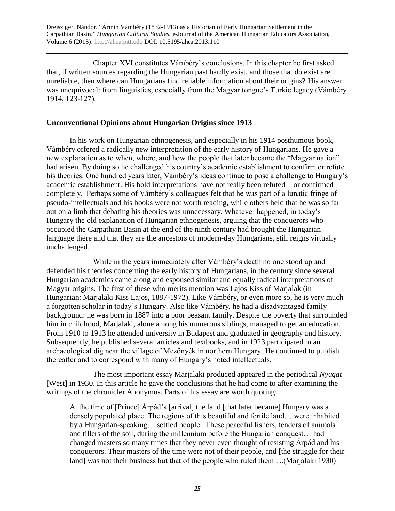Chapter XVI constitutes Vámbéry's conclusions. In this chapter he first asked that, if written sources regarding the Hungarian past hardly exist, and those that do exist are unreliable, then where can Hungarians find reliable information about their origins? His answer was unequivocal: from linguistics, especially from the Magyar tongue's Turkic legacy (Vámbéry 1914, 123-127).

#### **Unconventional Opinions about Hungarian Origins since 1913**

 In his work on Hungarian ethnogenesis, and especially in his 1914 posthumous book, Vámbéry offered a radically new interpretation of the early history of Hungarians. He gave a new explanation as to when, where, and how the people that later became the "Magyar nation" had arisen. By doing so he challenged his country's academic establishment to confirm or refute his theories. One hundred years later, Vámbéry's ideas continue to pose a challenge to Hungary's academic establishment. His bold interpretations have not really been refuted—or confirmed completely. Perhaps some of Vámbéry's colleagues felt that he was part of a lunatic fringe of pseudo-intellectuals and his books were not worth reading, while others held that he was so far out on a limb that debating his theories was unnecessary. Whatever happened, in today's Hungary the old explanation of Hungarian ethnogenesis, arguing that the conquerors who occupied the Carpathian Basin at the end of the ninth century had brought the Hungarian language there and that they are the ancestors of modern-day Hungarians, still reigns virtually unchallenged.

While in the years immediately after Vámbéry's death no one stood up and defended his theories concerning the early history of Hungarians, in the century since several Hungarian academics came along and espoused similar and equally radical interpretations of Magyar origins. The first of these who merits mention was Lajos Kiss of Marjalak (in Hungarian: Marjalaki Kiss Lajos, 1887-1972). Like Vámbéry, or even more so, he is very much a forgotten scholar in today's Hungary. Also like Vámbéry, he had a disadvantaged family background: he was born in 1887 into a poor peasant family. Despite the poverty that surrounded him in childhood, Marjalaki, alone among his numerous siblings, managed to get an education. From 1910 to 1913 he attended university in Budapest and graduated in geography and history. Subsequently, he published several articles and textbooks, and in 1923 participated in an archaeological dig near the village of Mezőnyék in northern Hungary. He continued to publish thereafter and to correspond with many of Hungary's noted intellectuals.

The most important essay Marjalaki produced appeared in the periodical *Nyugat* [West] in 1930. In this article he gave the conclusions that he had come to after examining the writings of the chronicler Anonymus. Parts of his essay are worth quoting:

At the time of [Prince] Árpád's [arrival] the land [that later became] Hungary was a densely populated place. The regions of this beautiful and fertile land… were inhabited by a Hungarian-speaking… settled people. These peaceful fishers, tenders of animals and tillers of the soil, during the millennium before the Hungarian conquest… had changed masters so many times that they never even thought of resisting Árpád and his conquerors. Their masters of the time were not of their people, and [the struggle for their land] was not their business but that of the people who ruled them….(Marjalaki 1930)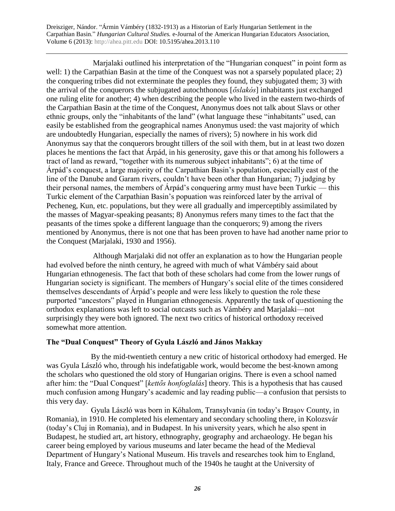Marjalaki outlined his interpretation of the "Hungarian conquest" in point form as well: 1) the Carpathian Basin at the time of the Conquest was not a sparsely populated place; 2) the conquering tribes did not exterminate the peoples they found, they subjugated them; 3) with the arrival of the conquerors the subjugated autochthonous [*őslakós*] inhabitants just exchanged one ruling elite for another; 4) when describing the people who lived in the eastern two-thirds of the Carpathian Basin at the time of the Conquest, Anonymus does not talk about Slavs or other ethnic groups, only the "inhabitants of the land" (what language these "inhabitants" used, can easily be established from the geographical names Anonymus used: the vast majority of which are undoubtedly Hungarian, especially the names of rivers); 5) nowhere in his work did Anonymus say that the conquerors brought tillers of the soil with them, but in at least two dozen places he mentions the fact that Árpád, in his generosity, gave this or that among his followers a tract of land as reward, "together with its numerous subject inhabitants"; 6) at the time of Árpád's conquest, a large majority of the Carpathian Basin's population, especially east of the line of the Danube and Garam rivers, couldn't have been other than Hungarian; 7) judging by their personal names, the members of Árpád's conquering army must have been Turkic — this Turkic element of the Carpathian Basin's popuation was reinforced later by the arrival of Pecheneg, Kun, etc. populations, but they were all gradually and imperceptibly assimilated by the masses of Magyar-speaking peasants; 8) Anonymus refers many times to the fact that the peasants of the times spoke a different language than the conquerors; 9) among the rivers mentioned by Anonymus, there is not one that has been proven to have had another name prior to the Conquest (Marjalaki, 1930 and 1956).

Although Marjalaki did not offer an explanation as to how the Hungarian people had evolved before the ninth century, he agreed with much of what Vámbéry said about Hungarian ethnogenesis. The fact that both of these scholars had come from the lower rungs of Hungarian society is significant. The members of Hungary's social elite of the times considered themselves descendants of Árpád's people and were less likely to question the role these purported "ancestors" played in Hungarian ethnogenesis. Apparently the task of questioning the orthodox explanations was left to social outcasts such as Vámbéry and Marjalaki—not surprisingly they were both ignored. The next two critics of historical orthodoxy received somewhat more attention.

## **The "Dual Conquest" Theory of Gyula László and János Makkay**

 By the mid-twentieth century a new critic of historical orthodoxy had emerged. He was Gyula László who, through his indefatigable work, would become the best-known among the scholars who questioned the old story of Hungarian origins. There is even a school named after him: the "Dual Conquest" [*kettős honfoglalás*] theory. This is a hypothesis that has caused much confusion among Hungary's academic and lay reading public—a confusion that persists to this very day.

 Gyula László was born in Kőhalom, Transylvania (in today's Braşov County, in Romania), in 1910. He completed his elementary and secondary schooling there, in Kolozsvár (today's Cluj in Romania), and in Budapest. In his university years, which he also spent in Budapest, he studied art, art history, ethnography, geography and archaeology. He began his career being employed by various museums and later became the head of the Medieval Department of Hungary's National Museum. His travels and researches took him to England, Italy, France and Greece. Throughout much of the 1940s he taught at the University of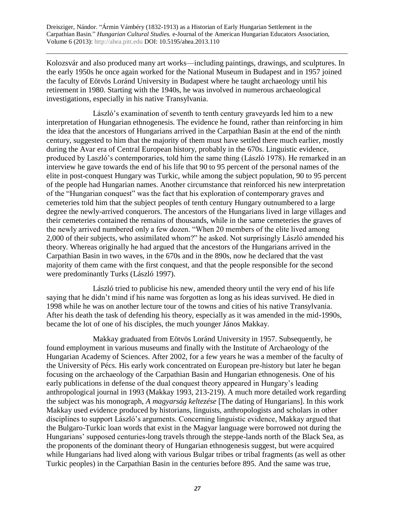Kolozsvár and also produced many art works—including paintings, drawings, and sculptures. In the early 1950s he once again worked for the National Museum in Budapest and in 1957 joined the faculty of Eötvös Loránd University in Budapest where he taught archaeology until his retirement in 1980. Starting with the 1940s, he was involved in numerous archaeological investigations, especially in his native Transylvania.

László's examination of seventh to tenth century graveyards led him to a new interpretation of Hungarian ethnogenesis. The evidence he found, rather than reinforcing in him the idea that the ancestors of Hungarians arrived in the Carpathian Basin at the end of the ninth century, suggested to him that the majority of them must have settled there much earlier, mostly during the Avar era of Central European history, probably in the 670s. Linguistic evidence, produced by Laszló's contemporaries, told him the same thing (László 1978). He remarked in an interview he gave towards the end of his life that 90 to 95 percent of the personal names of the elite in post-conquest Hungary was Turkic, while among the subject population, 90 to 95 percent of the people had Hungarian names. Another circumstance that reinforced his new interpretation of the "Hungarian conquest" was the fact that his exploration of contemporary graves and cemeteries told him that the subject peoples of tenth century Hungary outnumbered to a large degree the newly-arrived conquerors. The ancestors of the Hungarians lived in large villages and their cemeteries contained the remains of thousands, while in the same cemeteries the graves of the newly arrived numbered only a few dozen. "When 20 members of the elite lived among 2,000 of their subjects, who assimilated whom?" he asked. Not surprisingly László amended his theory. Whereas originally he had argued that the ancestors of the Hungarians arrived in the Carpathian Basin in two waves, in the 670s and in the 890s, now he declared that the vast majority of them came with the first conquest, and that the people responsible for the second were predominantly Turks (László 1997).

László tried to publicise his new, amended theory until the very end of his life saying that he didn't mind if his name was forgotten as long as his ideas survived. He died in 1998 while he was on another lecture tour of the towns and cities of his native Transylvania. After his death the task of defending his theory, especially as it was amended in the mid-1990s, became the lot of one of his disciples, the much younger János Makkay.

Makkay graduated from Eötvös Loránd University in 1957. Subsequently, he found employment in various museums and finally with the Institute of Archaeology of the Hungarian Academy of Sciences. After 2002, for a few years he was a member of the faculty of the University of Pécs. His early work concentrated on European pre-history but later he began focusing on the archaeology of the Carpathian Basin and Hungarian ethnogenesis. One of his early publications in defense of the dual conquest theory appeared in Hungary's leading anthropological journal in 1993 (Makkay 1993, 213-219). A much more detailed work regarding the subject was his monograph, *A magyarság keltezése* [The dating of Hungarians]. In this work Makkay used evidence produced by historians, linguists, anthropologists and scholars in other disciplines to support László's arguments. Concerning linguistic evidence, Makkay argued that the Bulgaro-Turkic loan words that exist in the Magyar language were borrowed not during the Hungarians' supposed centuries-long travels through the steppe-lands north of the Black Sea, as the proponents of the dominant theory of Hungarian ethnogenesis suggest, but were acquired while Hungarians had lived along with various Bulgar tribes or tribal fragments (as well as other Turkic peoples) in the Carpathian Basin in the centuries before 895. And the same was true,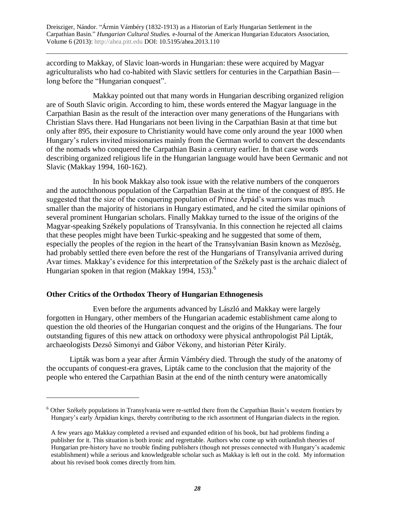according to Makkay, of Slavic loan-words in Hungarian: these were acquired by Magyar agriculturalists who had co-habited with Slavic settlers for centuries in the Carpathian Basin long before the "Hungarian conquest".

Makkay pointed out that many words in Hungarian describing organized religion are of South Slavic origin. According to him, these words entered the Magyar language in the Carpathian Basin as the result of the interaction over many generations of the Hungarians with Christian Slavs there. Had Hungarians not been living in the Carpathian Basin at that time but only after 895, their exposure to Christianity would have come only around the year 1000 when Hungary's rulers invited missionaries mainly from the German world to convert the descendants of the nomads who conquered the Carpathian Basin a century earlier. In that case words describing organized religious life in the Hungarian language would have been Germanic and not Slavic (Makkay 1994, 160-162).

In his book Makkay also took issue with the relative numbers of the conquerors and the autochthonous population of the Carpathian Basin at the time of the conquest of 895. He suggested that the size of the conquering population of Prince Árpád's warriors was much smaller than the majority of historians in Hungary estimated, and he cited the similar opinions of several prominent Hungarian scholars. Finally Makkay turned to the issue of the origins of the Magyar-speaking Székely populations of Transylvania. In this connection he rejected all claims that these peoples might have been Turkic-speaking and he suggested that some of them, especially the peoples of the region in the heart of the Transylvanian Basin known as Mezőség, had probably settled there even before the rest of the Hungarians of Transylvania arrived during Avar times. Makkay's evidence for this interpretation of the Székely past is the archaic dialect of Hungarian spoken in that region (Makkay 1994, 153). $<sup>6</sup>$ </sup>

## **Other Critics of the Orthodox Theory of Hungarian Ethnogenesis**

 $\overline{a}$ 

Even before the arguments advanced by László and Makkay were largely forgotten in Hungary, other members of the Hungarian academic establishment came along to question the old theories of the Hungarian conquest and the origins of the Hungarians. The four outstanding figures of this new attack on orthodoxy were physical anthropologist Pál Lipták, archaeologists Dezső Simonyi and Gábor Vékony, and historian Péter Király.

Lipták was born a year after Ármin Vámbéry died. Through the study of the anatomy of the occupants of conquest-era graves, Lipták came to the conclusion that the majority of the people who entered the Carpathian Basin at the end of the ninth century were anatomically

 $6$  Other Székely populations in Transylvania were re-settled there from the Carpathian Basin's western frontiers by Hungary's early Árpádian kings, thereby contributing to the rich assortment of Hungarian dialects in the region.

A few years ago Makkay completed a revised and expanded edition of his book, but had problems finding a publisher for it. This situation is both ironic and regrettable. Authors who come up with outlandish theories of Hungarian pre-history have no trouble finding publishers (though not presses connected with Hungary's academic establishment) while a serious and knowledgeable scholar such as Makkay is left out in the cold. My information about his revised book comes directly from him.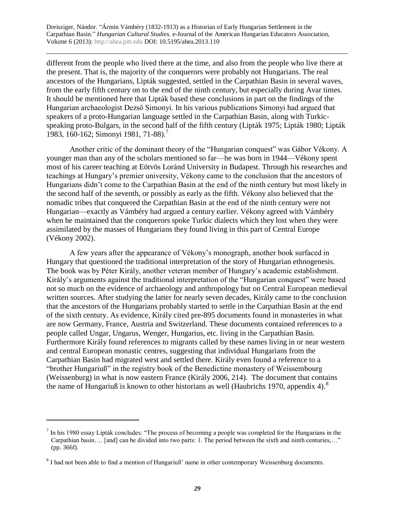different from the people who lived there at the time, and also from the people who live there at the present. That is, the majority of the conquerors were probably not Hungarians. The real ancestors of the Hungarians, Lipták suggested, settled in the Carpathian Basin in several waves, from the early fifth century on to the end of the ninth century, but especially during Avar times. It should be mentioned here that Lipták based these conclusions in part on the findings of the Hungarian archaeologist Dezső Simonyi. In his various publications Simonyi had argued that speakers of a proto-Hungarian language settled in the Carpathian Basin, along with Turkicspeaking proto-Bulgars, in the second half of the fifth century (Lipták 1975; Lipták 1980; Lipták 1983, 160-162; Simonyi 1981, 71-88).<sup>7</sup>

Another critic of the dominant theory of the "Hungarian conquest" was Gábor Vékony. A younger man than any of the scholars mentioned so far—he was born in 1944—Vékony spent most of his career teaching at Eötvös Loránd University in Budapest. Through his researches and teachings at Hungary's premier university, Vékony came to the conclusion that the ancestors of Hungarians didn't come to the Carpathian Basin at the end of the ninth century but most likely in the second half of the seventh, or possibly as early as the fifth. Vékony also believed that the nomadic tribes that conquered the Carpathian Basin at the end of the ninth century were not Hungarian—exactly as Vámbéry had argued a century earlier. Vékony agreed with Vámbéry when he maintained that the conquerors spoke Turkic dialects which they lost when they were assimilated by the masses of Hungarians they found living in this part of Central Europe (Vékony 2002).

A few years after the appearance of Vékony's monograph, another book surfaced in Hungary that questioned the traditional interpretation of the story of Hungarian ethnogenesis. The book was by Péter Király, another veteran member of Hungary's academic establishment. Király's arguments against the traditional interpretation of the "Hungarian conquest" were based not so much on the evidence of archaeology and anthropology but on Central European medieval written sources. After studying the latter for nearly seven decades, Király came to the conclusion that the ancestors of the Hungarians probably started to settle in the Carpathian Basin at the end of the sixth century. As evidence, Király cited pre-895 documents found in monasteries in what are now Germany, France, Austria and Switzerland. These documents contained references to a people called Ungar, Ungarus, Wenger, Hungarius, etc. living in the Carpathian Basin. Furthermore Király found references to migrants called by these names living in or near western and central European monastic centres, suggesting that individual Hungarians from the Carpathian Basin had migrated west and settled there. Király even found a reference to a "brother Hungariuß" in the registry book of the Benedictine monastery of Weissembourg (Weissenburg) in what is now eastern France (Király 2006, 214). The document that contains the name of Hungariuß is known to other historians as well (Haubrichs 1970, appendix 4).<sup>8</sup>

 $<sup>7</sup>$  In his 1980 essay Lipták concludes: "The process of becoming a people was completed for the Hungarians in the</sup> Carpathian basin…. [and] can be divided into two parts: 1. The period between the sixth and ninth centuries,…" (pp. 366f).

<sup>&</sup>lt;sup>8</sup> I had not been able to find a mention of Hungariuß' name in other contemporary Weissenburg documents.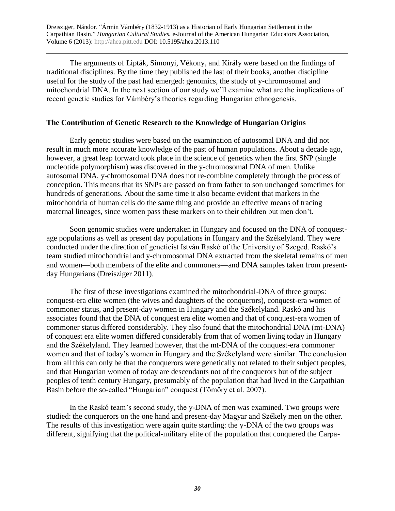The arguments of Lipták, Simonyi, Vékony, and Király were based on the findings of traditional disciplines. By the time they published the last of their books, another discipline useful for the study of the past had emerged: genomics, the study of y-chromosomal and mitochondrial DNA. In the next section of our study we'll examine what are the implications of recent genetic studies for Vámbéry's theories regarding Hungarian ethnogenesis.

#### **The Contribution of Genetic Research to the Knowledge of Hungarian Origins**

 Early genetic studies were based on the examination of autosomal DNA and did not result in much more accurate knowledge of the past of human populations. About a decade ago, however, a great leap forward took place in the science of genetics when the first SNP (single nucleotide polymorphism) was discovered in the y-chromosomal DNA of men. Unlike autosomal DNA, y-chromosomal DNA does not re-combine completely through the process of conception. This means that its SNPs are passed on from father to son unchanged sometimes for hundreds of generations. About the same time it also became evident that markers in the mitochondria of human cells do the same thing and provide an effective means of tracing maternal lineages, since women pass these markers on to their children but men don't.

Soon genomic studies were undertaken in Hungary and focused on the DNA of conquestage populations as well as present day populations in Hungary and the Székelyland. They were conducted under the direction of geneticist István Raskó of the University of Szeged. Raskó's team studied mitochondrial and y-chromosomal DNA extracted from the skeletal remains of men and women—both members of the elite and commoners—and DNA samples taken from presentday Hungarians (Dreisziger 2011).

 The first of these investigations examined the mitochondrial-DNA of three groups: conquest-era elite women (the wives and daughters of the conquerors), conquest-era women of commoner status, and present-day women in Hungary and the Székelyland. Raskó and his associates found that the DNA of conquest era elite women and that of conquest-era women of commoner status differed considerably. They also found that the mitochondrial DNA (mt-DNA) of conquest era elite women differed considerably from that of women living today in Hungary and the Székelyland. They learned however, that the mt-DNA of the conquest-era commoner women and that of today's women in Hungary and the Székelyland were similar. The conclusion from all this can only be that the conquerors were genetically not related to their subject peoples, and that Hungarian women of today are descendants not of the conquerors but of the subject peoples of tenth century Hungary, presumably of the population that had lived in the Carpathian Basin before the so-called "Hungarian" conquest (Tömöry et al. 2007).

In the Raskó team's second study, the y-DNA of men was examined. Two groups were studied: the conquerors on the one hand and present-day Magyar and Székely men on the other. The results of this investigation were again quite startling: the y-DNA of the two groups was different, signifying that the political-military elite of the population that conquered the Carpa-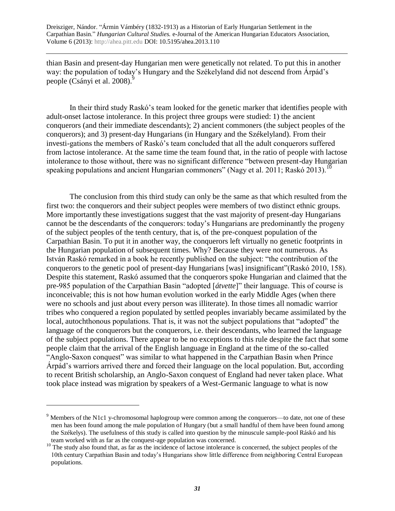thian Basin and present-day Hungarian men were genetically not related. To put this in another way: the population of today's Hungary and the Székelyland did not descend from Árpád's people (Csányi et al. 2008).<sup>9</sup>

In their third study Raskó's team looked for the genetic marker that identifies people with adult-onset lactose intolerance. In this project three groups were studied: 1) the ancient conquerors (and their immediate descendants); 2) ancient commoners (the subject peoples of the conquerors); and 3) present-day Hungarians (in Hungary and the Székelyland). From their investi-gations the members of Raskó's team concluded that all the adult conquerors suffered from lactose intolerance. At the same time the team found that, in the ratio of people with lactose intolerance to those without, there was no significant difference "between present-day Hungarian speaking populations and ancient Hungarian commoners" (Nagy et al. 2011; Raskó 2013).<sup>10</sup>

The conclusion from this third study can only be the same as that which resulted from the first two: the conquerors and their subject peoples were members of two distinct ethnic groups. More importantly these investigations suggest that the vast majority of present-day Hungarians cannot be the descendants of the conquerors: today's Hungarians are predominantly the progeny of the subject peoples of the tenth century, that is, of the pre-conquest population of the Carpathian Basin. To put it in another way, the conquerors left virtually no genetic footprints in the Hungarian population of subsequent times. Why? Because they were not numerous. As István Raskó remarked in a book he recently published on the subject: "the contribution of the conquerors to the genetic pool of present-day Hungarians [was] insignificant"(Raskó 2010, 158). Despite this statement, Raskó assumed that the conquerors spoke Hungarian and claimed that the pre-985 population of the Carpathian Basin "adopted [*átvette*]" their language. This of course is inconceivable; this is not how human evolution worked in the early Middle Ages (when there were no schools and just about every person was illiterate). In those times all nomadic warrior tribes who conquered a region populated by settled peoples invariably became assimilated by the local, autochthonous populations. That is, it was not the subject populations that "adopted" the language of the conquerors but the conquerors, i.e. their descendants, who learned the language of the subject populations. There appear to be no exceptions to this rule despite the fact that some people claim that the arrival of the English language in England at the time of the so-called "Anglo-Saxon conquest" was similar to what happened in the Carpathian Basin when Prince Árpád's warriors arrived there and forced their language on the local population. But, according to recent British scholarship, an Anglo-Saxon conquest of England had never taken place. What took place instead was migration by speakers of a West-Germanic language to what is now

<sup>&</sup>lt;sup>9</sup> Members of the N1c1 y-chromosomal haplogroup were common among the conquerors—to date, not one of these men has been found among the male population of Hungary (but a small handful of them have been found among the Székelys). The usefulness of this study is called into question by the minuscule sample-pool Ráskó and his team worked with as far as the conquest-age population was concerned.

<sup>&</sup>lt;sup>10</sup> The study also found that, as far as the incidence of lactose intolerance is concerned, the subject peoples of the 10th century Carpathian Basin and today's Hungarians show little difference from neighboring Central European populations.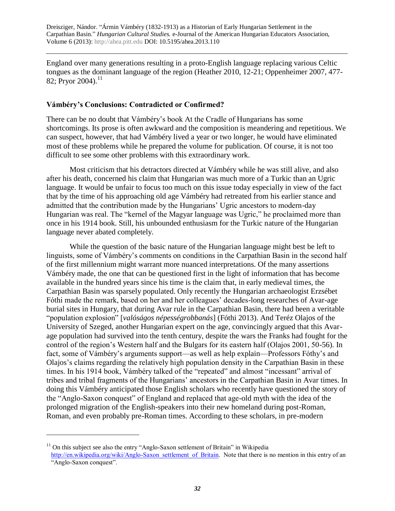England over many generations resulting in a proto-English language replacing various Celtic tongues as the dominant language of the region (Heather 2010, 12-21; Oppenheimer 2007, 477- 82; Pryor 2004).<sup>11</sup>

## **Vámbéry's Conclusions: Contradicted or Confirmed?**

There can be no doubt that Vámbéry's book At the Cradle of Hungarians has some shortcomings. Its prose is often awkward and the composition is meandering and repetitious. We can suspect, however, that had Vámbéry lived a year or two longer, he would have eliminated most of these problems while he prepared the volume for publication. Of course, it is not too difficult to see some other problems with this extraordinary work.

Most criticism that his detractors directed at Vámbéry while he was still alive, and also after his death, concerned his claim that Hungarian was much more of a Turkic than an Ugric language. It would be unfair to focus too much on this issue today especially in view of the fact that by the time of his approaching old age Vámbéry had retreated from his earlier stance and admitted that the contribution made by the Hungarians' Ugric ancestors to modern-day Hungarian was real. The "kernel of the Magyar language was Ugric," he proclaimed more than once in his 1914 book. Still, his unbounded enthusiasm for the Turkic nature of the Hungarian language never abated completely.

While the question of the basic nature of the Hungarian language might best be left to linguists, some of Vámbéry's comments on conditions in the Carpathian Basin in the second half of the first millennium might warrant more nuanced interpretations. Of the many assertions Vámbéry made, the one that can be questioned first in the light of information that has become available in the hundred years since his time is the claim that, in early medieval times, the Carpathian Basin was sparsely populated. Only recently the Hungarian archaeologist Erzsébet Fóthi made the remark, based on her and her colleagues' decades-long researches of Avar-age burial sites in Hungary, that during Avar rule in the Carpathian Basin, there had been a veritable "population explosion" [*valóságos népességrobbanás*] (Fóthi 2013). And Teréz Olajos of the University of Szeged, another Hungarian expert on the age, convincingly argued that this Avarage population had survived into the tenth century, despite the wars the Franks had fought for the control of the region's Western half and the Bulgars for its eastern half (Olajos 2001, 50-56). In fact, some of Vámbéry's arguments support—as well as help explain—Professors Fóthy's and Olajos's claims regarding the relatively high population density in the Carpathian Basin in these times. In his 1914 book, Vámbéry talked of the "repeated" and almost "incessant" arrival of tribes and tribal fragments of the Hungarians' ancestors in the Carpathian Basin in Avar times. In doing this Vámbéry anticipated those English scholars who recently have questioned the story of the "Anglo-Saxon conquest" of England and replaced that age-old myth with the idea of the prolonged migration of the English-speakers into their new homeland during post-Roman, Roman, and even probably pre-Roman times. According to these scholars, in pre-modern

 $11$  On this subject see also the entry "Anglo-Saxon settlement of Britain" in Wikipedia [http://en.wikipedia.org/wiki/Anglo-Saxon\\_settlement\\_of\\_Britain.](http://en.wikipedia.org/wiki/Anglo-Saxon_settlement_of_Britain) Note that there is no mention in this entry of an "Anglo-Saxon conquest".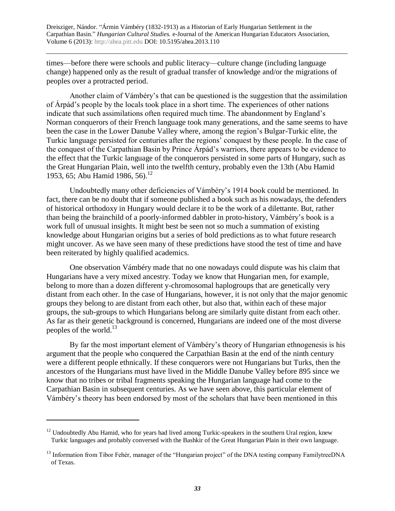times—before there were schools and public literacy—culture change (including language change) happened only as the result of gradual transfer of knowledge and/or the migrations of peoples over a protracted period.

Another claim of Vámbéry's that can be questioned is the suggestion that the assimilation of Árpád's people by the locals took place in a short time. The experiences of other nations indicate that such assimilations often required much time. The abandonment by England's Norman conquerors of their French language took many generations, and the same seems to have been the case in the Lower Danube Valley where, among the region's Bulgar-Turkic elite, the Turkic language persisted for centuries after the regions' conquest by these people. In the case of the conquest of the Carpathian Basin by Prince Árpád's warriors, there appears to be evidence to the effect that the Turkic language of the conquerors persisted in some parts of Hungary, such as the Great Hungarian Plain, well into the twelfth century, probably even the 13th (Abu Hamid 1953, 65; Abu Hamid 1986, 56).<sup>12</sup>

Undoubtedly many other deficiencies of Vámbéry's 1914 book could be mentioned. In fact, there can be no doubt that if someone published a book such as his nowadays, the defenders of historical orthodoxy in Hungary would declare it to be the work of a dilettante. But, rather than being the brainchild of a poorly-informed dabbler in proto-history, Vámbéry's book is a work full of unusual insights. It might best be seen not so much a summation of existing knowledge about Hungarian origins but a series of bold predictions as to what future research might uncover. As we have seen many of these predictions have stood the test of time and have been reiterated by highly qualified academics.

One observation Vámbéry made that no one nowadays could dispute was his claim that Hungarians have a very mixed ancestry. Today we know that Hungarian men, for example, belong to more than a dozen different y-chromosomal haplogroups that are genetically very distant from each other. In the case of Hungarians, however, it is not only that the major genomic groups they belong to are distant from each other, but also that, within each of these major groups, the sub-groups to which Hungarians belong are similarly quite distant from each other. As far as their genetic background is concerned, Hungarians are indeed one of the most diverse peoples of the world. $^{13}$ 

By far the most important element of Vámbéry's theory of Hungarian ethnogenesis is his argument that the people who conquered the Carpathian Basin at the end of the ninth century were a different people ethnically. If these conquerors were not Hungarians but Turks, then the ancestors of the Hungarians must have lived in the Middle Danube Valley before 895 since we know that no tribes or tribal fragments speaking the Hungarian language had come to the Carpathian Basin in subsequent centuries. As we have seen above, this particular element of Vámbéry's theory has been endorsed by most of the scholars that have been mentioned in this

 $12$  Undoubtedly Abu Hamid, who for years had lived among Turkic-speakers in the southern Ural region, knew Turkic languages and probably conversed with the Bashkir of the Great Hungarian Plain in their own language.

<sup>&</sup>lt;sup>13</sup> Information from Tibor Fehér, manager of the "Hungarian project" of the DNA testing company FamilytreeDNA of Texas.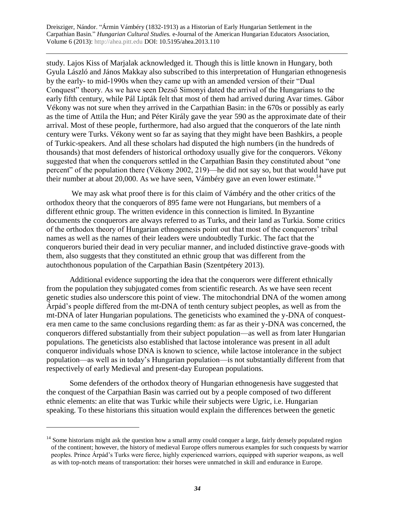study. Lajos Kiss of Marjalak acknowledged it. Though this is little known in Hungary, both Gyula László and János Makkay also subscribed to this interpretation of Hungarian ethnogenesis by the early- to mid-1990s when they came up with an amended version of their "Dual Conquest" theory. As we have seen Dezső Simonyi dated the arrival of the Hungarians to the early fifth century, while Pál Lipták felt that most of them had arrived during Avar times. Gábor Vékony was not sure when they arrived in the Carpathian Basin: in the 670s or possibly as early as the time of Attila the Hun; and Péter Király gave the year 590 as the approximate date of their arrival. Most of these people, furthermore, had also argued that the conquerors of the late ninth century were Turks. Vékony went so far as saying that they might have been Bashkirs, a people of Turkic-speakers. And all these scholars had disputed the high numbers (in the hundreds of thousands) that most defenders of historical orthodoxy usually give for the conquerors. Vékony suggested that when the conquerors settled in the Carpathian Basin they constituted about "one percent" of the population there (Vékony 2002, 219)—he did not say so, but that would have put their number at about 20,000. As we have seen, Vámbéry gave an even lower estimate.<sup>14</sup>

We may ask what proof there is for this claim of Vámbéry and the other critics of the orthodox theory that the conquerors of 895 fame were not Hungarians, but members of a different ethnic group. The written evidence in this connection is limited. In Byzantine documents the conquerors are always referred to as Turks, and their land as Turkia. Some critics of the orthodox theory of Hungarian ethnogenesis point out that most of the conquerors' tribal names as well as the names of their leaders were undoubtedly Turkic. The fact that the conquerors buried their dead in very peculiar manner, and included distinctive grave-goods with them, also suggests that they constituted an ethnic group that was different from the autochthonous population of the Carpathian Basin (Szentpétery 2013).

Additional evidence supporting the idea that the conquerors were different ethnically from the population they subjugated comes from scientific research. As we have seen recent genetic studies also underscore this point of view. The mitochondrial DNA of the women among Árpád's people differed from the mt-DNA of tenth century subject peoples, as well as from the mt-DNA of later Hungarian populations. The geneticists who examined the y-DNA of conquestera men came to the same conclusions regarding them: as far as their y-DNA was concerned, the conquerors differed substantially from their subject population—as well as from later Hungarian populations. The geneticists also established that lactose intolerance was present in all adult conqueror individuals whose DNA is known to science, while lactose intolerance in the subject population—as well as in today's Hungarian population—is not substantially different from that respectively of early Medieval and present-day European populations.

Some defenders of the orthodox theory of Hungarian ethnogenesis have suggested that the conquest of the Carpathian Basin was carried out by a people composed of two different ethnic elements: an elite that was Turkic while their subjects were Ugric, i.e. Hungarian speaking. To these historians this situation would explain the differences between the genetic

 $14$  Some historians might ask the question how a small army could conquer a large, fairly densely populated region of the continent; however, the history of medieval Europe offers numerous examples for such conquests by warrior peoples. Prince Árpád's Turks were fierce, highly experienced warriors, equipped with superior weapons, as well as with top-notch means of transportation: their horses were unmatched in skill and endurance in Europe.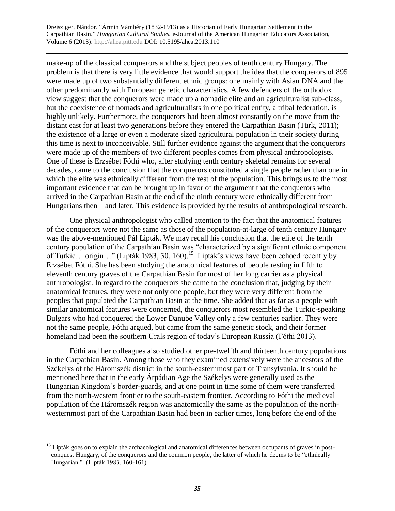make-up of the classical conquerors and the subject peoples of tenth century Hungary. The problem is that there is very little evidence that would support the idea that the conquerors of 895 were made up of two substantially different ethnic groups: one mainly with Asian DNA and the other predominantly with European genetic characteristics. A few defenders of the orthodox view suggest that the conquerors were made up a nomadic elite and an agriculturalist sub-class, but the coexistence of nomads and agriculturalists in one political entity, a tribal federation, is highly unlikely. Furthermore, the conquerors had been almost constantly on the move from the distant east for at least two generations before they entered the Carpathian Basin (Türk, 2011); the existence of a large or even a moderate sized agricultural population in their society during this time is next to inconceivable. Still further evidence against the argument that the conquerors were made up of the members of two different peoples comes from physical anthropologists. One of these is Erzsébet Fóthi who, after studying tenth century skeletal remains for several decades, came to the conclusion that the conquerors constituted a single people rather than one in which the elite was ethnically different from the rest of the population. This brings us to the most important evidence that can be brought up in favor of the argument that the conquerors who arrived in the Carpathian Basin at the end of the ninth century were ethnically different from Hungarians then—and later. This evidence is provided by the results of anthropological research.

One physical anthropologist who called attention to the fact that the anatomical features of the conquerors were not the same as those of the population-at-large of tenth century Hungary was the above-mentioned Pál Lipták. We may recall his conclusion that the elite of the tenth century population of the Carpathian Basin was "characterized by a significant ethnic component of Turkic... origin..." (Lipták 1983, 30, 160).<sup>15</sup> Lipták's views have been echoed recently by Erzsébet Fóthi. She has been studying the anatomical features of people resting in fifth to eleventh century graves of the Carpathian Basin for most of her long carrier as a physical anthropologist. In regard to the conquerors she came to the conclusion that, judging by their anatomical features, they were not only one people, but they were very different from the peoples that populated the Carpathian Basin at the time. She added that as far as a people with similar anatomical features were concerned, the conquerors most resembled the Turkic-speaking Bulgars who had conquered the Lower Danube Valley only a few centuries earlier. They were not the same people, Fóthi argued, but came from the same genetic stock, and their former homeland had been the southern Urals region of today's European Russia (Fóthi 2013).

Fóthi and her colleagues also studied other pre-twelfth and thirteenth century populations in the Carpathian Basin. Among those who they examined extensively were the ancestors of the Székelys of the Háromszék district in the south-easternmost part of Transylvania. It should be mentioned here that in the early Árpádian Age the Székelys were generally used as the Hungarian Kingdom's border-guards, and at one point in time some of them were transferred from the north-western frontier to the south-eastern frontier. According to Fóthi the medieval population of the Háromszék region was anatomically the same as the population of the northwesternmost part of the Carpathian Basin had been in earlier times, long before the end of the

<sup>&</sup>lt;sup>15</sup> Lipták goes on to explain the archaeological and anatomical differences between occupants of graves in postconquest Hungary, of the conquerors and the common people, the latter of which he deems to be "ethnically Hungarian." (Lipták 1983, 160-161).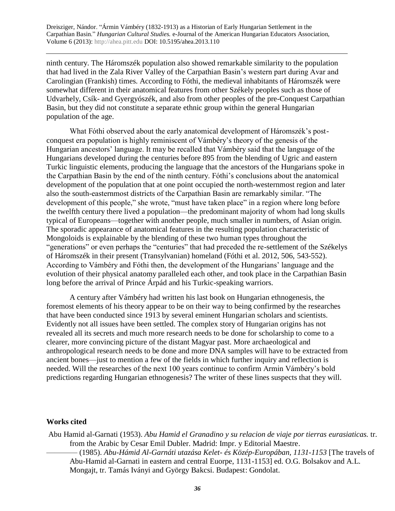ninth century. The Háromszék population also showed remarkable similarity to the population that had lived in the Zala River Valley of the Carpathian Basin's western part during Avar and Carolingian (Frankish) times. According to Fóthi, the medieval inhabitants of Háromszék were somewhat different in their anatomical features from other Székely peoples such as those of Udvarhely, Csík- and Gyergyószék, and also from other peoples of the pre-Conquest Carpathian Basin, but they did not constitute a separate ethnic group within the general Hungarian population of the age.

What Fóthi observed about the early anatomical development of Háromszék's postconquest era population is highly reminiscent of Vámbéry's theory of the genesis of the Hungarian ancestors' language. It may be recalled that Vámbéry said that the language of the Hungarians developed during the centuries before 895 from the blending of Ugric and eastern Turkic linguistic elements, producing the language that the ancestors of the Hungarians spoke in the Carpathian Basin by the end of the ninth century. Fóthi's conclusions about the anatomical development of the population that at one point occupied the north-westernmost region and later also the south-easternmost districts of the Carpathian Basin are remarkably similar. "The development of this people," she wrote, "must have taken place" in a region where long before the twelfth century there lived a population—the predominant majority of whom had long skulls typical of Europeans—together with another people, much smaller in numbers, of Asian origin. The sporadic appearance of anatomical features in the resulting population characteristic of Mongoloids is explainable by the blending of these two human types throughout the "generations" or even perhaps the "centuries" that had preceded the re-settlement of the Székelys of Háromszék in their present (Transylvanian) homeland (Fóthi et al. 2012, 506, 543-552). According to Vámbéry and Fóthi then, the development of the Hungarians' language and the evolution of their physical anatomy paralleled each other, and took place in the Carpathian Basin long before the arrival of Prince Árpád and his Turkic-speaking warriors.

A century after Vámbéry had written his last book on Hungarian ethnogenesis, the foremost elements of his theory appear to be on their way to being confirmed by the researches that have been conducted since 1913 by several eminent Hungarian scholars and scientists. Evidently not all issues have been settled. The complex story of Hungarian origins has not revealed all its secrets and much more research needs to be done for scholarship to come to a clearer, more convincing picture of the distant Magyar past. More archaeological and anthropological research needs to be done and more DNA samples will have to be extracted from ancient bones—just to mention a few of the fields in which further inquiry and reflection is needed. Will the researches of the next 100 years continue to confirm Armin Vámbéry's bold predictions regarding Hungarian ethnogenesis? The writer of these lines suspects that they will.

#### **Works cited**

Abu Hamid al-Garnati (1953). *Abu Hamid el Granadino y su relacion de viaje por tierras eurasiaticas.* tr. from the Arabic by Cesar Emil Dubler. Madrid: Impr. y Editorial Maestre.

———— (1985). *Abu-Hámid Al-Garnáti utazása Kelet- és Közép-Europában, 1131-1153* [The travels of Abu-Hamid al-Garnati in eastern and central Euorpe, 1131-1153] ed. O.G. Bolsakov and A.L. Mongajt, tr. Tamás Iványi and György Bakcsi. Budapest: Gondolat.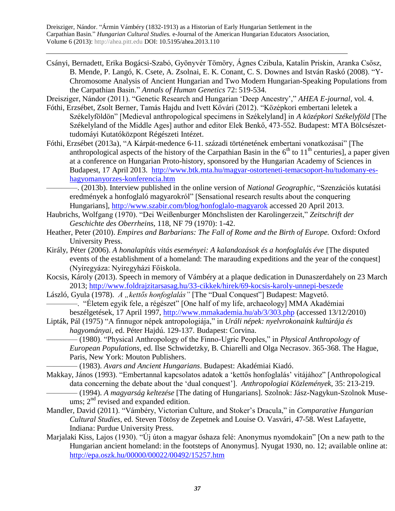Csányi, Bernadett, Erika Bogácsi-Szabó, Gyönyvér Tömöry, Ágnes Czibula, Katalin Priskin, Aranka Csősz, B. Mende, P. Langó, K. Csete, A. Zsolnai, E. K. Conant, C. S. Downes and István Raskó (2008). "Y-Chromosome Analysis of Ancient Hungarian and Two Modern Hungarian-Speaking Populations from the Carpathian Basin." *Annals of Human Genetics* 72: 519-534.

Dreisziger, Nándor (2011). "Genetic Research and Hungarian 'Deep Ancestry'," *AHEA E-journal,* vol. 4.

- Fóthi, Erzsébet, Zsolt Berner, Tamás Hajdu and Ivett Kővári (2012). "Középkori embertani leletek a Székelyföldön" [Medieval anthropological specimens in Székelyland] in *A középkori Székelyföld* [The Székelyland of the Middle Ages] author and editor Elek Benkő, 473-552. Budapest: MTA Bölcsészettudomáyi Kutatóközpont Régészeti Intézet.
- Fóthi, Erzsébet (2013a), "A Kárpát-medence 6-11. századi történetének embertani vonatkozásai" [The anthropological aspects of the history of the Carpathian Basin in the  $6<sup>th</sup>$  to  $11<sup>th</sup>$  centuries], a paper given at a conference on Hungarian Proto-history, sponsored by the Hungarian Academy of Sciences in Budapest, 17 April 2013. [http://www.btk.mta.hu/magyar-ostorteneti-temacsoport-hu/tudomany-es](http://www.btk.mta.hu/magyar-ostorteneti-temacsoport-hu/tudomany-es-hagyomanyorzes-konferencia.htm)[hagyomanyorzes-konferencia.htm](http://www.btk.mta.hu/magyar-ostorteneti-temacsoport-hu/tudomany-es-hagyomanyorzes-konferencia.htm) 
	- ————. (2013b). Interview published in the online version of *National Geographic*, "Szenzációs kutatási eredmények a honfoglaló magyarokról" [Sensational research results about the conquering Hungarians],<http://www.szabir.com/blog/honfoglalo-magyarok> accessed 20 April 2013.
- Haubrichs, Wolfgang (1970). "Dei Weißenburger Mönchslisten der Karolingerzeit," *Zeitschrift der Geschichte des Oberrheins,* 118, NF 79 (1970): 1-42.
- Heather, Peter (2010). *Empires and Barbarians: The Fall of Rome and the Birth of Europe.* Oxford: Oxford University Press.
- Király, Péter (2006). *A honalapítás vitás eseményei: A kalandozások és a honfoglalás éve* [The disputed events of the establishment of a homeland: The marauding expeditions and the year of the conquest] (Nyíregyáza: Nyíregyházi Főiskola.
- Kocsis, Károly (2013). Speech in memory of Vámbéry at a plaque dedication in Dunaszerdahely on 23 March 2013;<http://www.foldrajzitarsasag.hu/33-cikkek/hirek/69-kocsis-karoly-unnepi-beszede>
- László, Gyula (1978). *A* "*kettős honfoglalás*" [The "Dual Conquest"] Budapest: Magvető. ————. "Életem egyik fele, a régészet" [One half of my life, archaeology] MMA Akadémiai beszélgetések, 17 April 1997,<http://www.mmakademia.hu/ab/3/303.php> (accessed 13/12/2010)
- Lipták, Pál (1975) "A finnugor népek antropologiája," in *Uráli népek: nyelvrokonaink kultúrája és hagyományai*, ed. Péter Hajdú. 129-137. Budapest: Corvina.

———— (1980). "Physical Anthropology of the Finno-Ugric Peoples," in *Physical Anthropology of European Populations*, ed. Ilse Schwidetzky, B. Chiarelli and Olga Necrasov. 365-368. The Hague, Paris, New York: Mouton Publishers.

———— (1983). *Avars and Ancient Hungarians*. Budapest: Akadémiai Kiadó.

Makkay, János (1993). "Embertannal kapcsolatos adatok a 'kettős honfoglalás' vitájához" [Anthropological data concerning the debate about the 'dual conquest']. *Anthropologiai Közlemények,* 35: 213-219. ———— (1994). *A magyarság keltezése* [The dating of Hungarians]. Szolnok: Jász-Nagykun-Szolnok Muse-

ums;  $2<sup>nd</sup>$  revised and expanded edition.

- Mandler, David (2011). "Vámbéry, Victorian Culture, and Stoker's Dracula," in *Comparative Hungarian Cultural Studies*, ed. Steven Tötösy de Zepetnek and Louise O. Vasvári, 47-58. West Lafayette, Indiana: Purdue University Press.
- Marjalaki Kiss, Lajos (1930). "Új úton a magyar őshaza felé: Anonymus nyomdokain" [On a new path to the Hungarian ancient homeland: in the footsteps of Anonymus]. Nyugat 1930, no. 12; available online at: <http://epa.oszk.hu/00000/00022/00492/15257.htm>